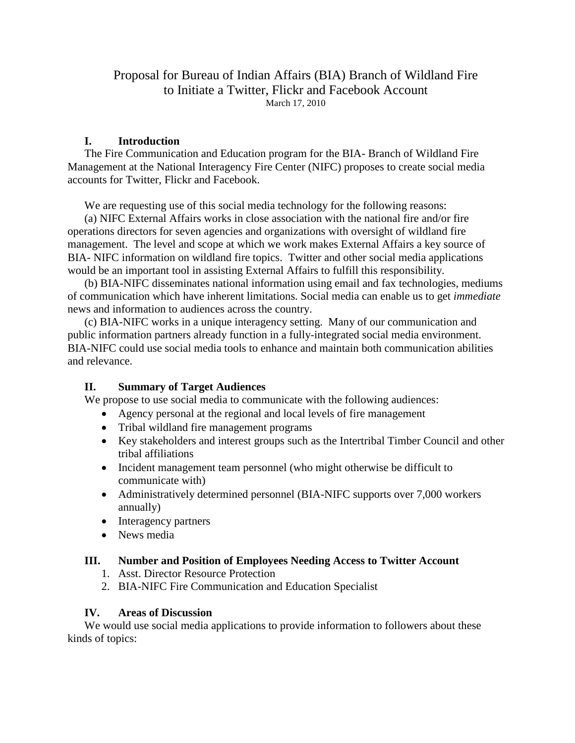### Proposal for Bureau of Indian Affairs (BIA) Branch of Wildland Fire to Initiate a Twitter, Flickr and Facebook Account March 17, 2010

### **I. Introduction**

The Fire Communication and Education program for the BIA- Branch of Wildland Fire Management at the National Interagency Fire Center (NIFC) proposes to create social media accounts for Twitter, Flickr and Facebook.

We are requesting use of this social media technology for the following reasons:

(a) NIFC External Affairs works in close association with the national fire and/or fire operations directors for seven agencies and organizations with oversight of wildland fire management. The level and scope at which we work makes External Affairs a key source of BIA- NIFC information on wildland fire topics. Twitter and other social media applications would be an important tool in assisting External Affairs to fulfill this responsibility.

(b) BIA-NIFC disseminates national information using email and fax technologies, mediums of communication which have inherent limitations. Social media can enable us to get *immediate* news and information to audiences across the country.

(c) BIA-NIFC works in a unique interagency setting. Many of our communication and public information partners already function in a fully-integrated social media environment. BIA-NIFC could use social media tools to enhance and maintain both communication abilities and relevance.

#### **II. Summary of Target Audiences**

We propose to use social media to communicate with the following audiences:

- Agency personal at the regional and local levels of fire management
	- Tribal wildland fire management programs
	- Key stakeholders and interest groups such as the Intertribal Timber Council and other tribal affiliations
	- Incident management team personnel (who might otherwise be difficult to communicate with)
- Administratively determined personnel (BIA-NIFC supports over 7,000 workers annually)
- Interagency partners
- News media

#### **III. Number and Position of Employees Needing Access to Twitter Account**

- 1. Asst. Director Resource Protection
- 2. BIA-NIFC Fire Communication and Education Specialist

#### **IV. Areas of Discussion**

We would use social media applications to provide information to followers about these kinds of topics: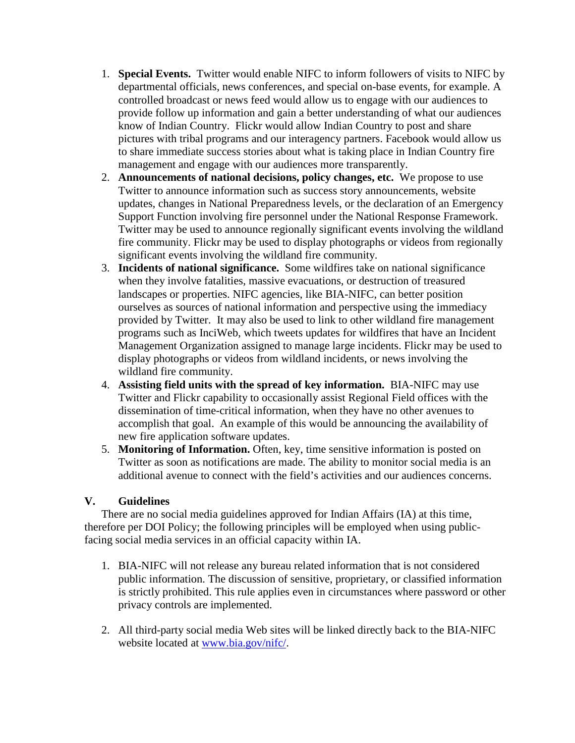- 1. **Special Events.** Twitter would enable NIFC to inform followers of visits to NIFC by departmental officials, news conferences, and special on-base events, for example. A controlled broadcast or news feed would allow us to engage with our audiences to provide follow up information and gain a better understanding of what our audiences know of Indian Country. Flickr would allow Indian Country to post and share pictures with tribal programs and our interagency partners. Facebook would allow us to share immediate success stories about what is taking place in Indian Country fire management and engage with our audiences more transparently.
- 2. **Announcements of national decisions, policy changes, etc.** We propose to use Twitter to announce information such as success story announcements, website updates, changes in National Preparedness levels, or the declaration of an Emergency Support Function involving fire personnel under the National Response Framework. Twitter may be used to announce regionally significant events involving the wildland fire community. Flickr may be used to display photographs or videos from regionally significant events involving the wildland fire community.
- 3. **Incidents of national significance.** Some wildfires take on national significance when they involve fatalities, massive evacuations, or destruction of treasured landscapes or properties. NIFC agencies, like BIA-NIFC, can better position ourselves as sources of national information and perspective using the immediacy provided by Twitter. It may also be used to link to other wildland fire management programs such as InciWeb, which tweets updates for wildfires that have an Incident Management Organization assigned to manage large incidents. Flickr may be used to display photographs or videos from wildland incidents, or news involving the wildland fire community.
- 4. **Assisting field units with the spread of key information.** BIA-NIFC may use Twitter and Flickr capability to occasionally assist Regional Field offices with the dissemination of time-critical information, when they have no other avenues to accomplish that goal. An example of this would be announcing the availability of new fire application software updates.
- 5. **Monitoring of Information.** Often, key, time sensitive information is posted on Twitter as soon as notifications are made. The ability to monitor social media is an additional avenue to connect with the field's activities and our audiences concerns.

### **V. Guidelines**

There are no social media guidelines approved for Indian Affairs (IA) at this time, therefore per DOI Policy; the following principles will be employed when using publicfacing social media services in an official capacity within IA.

- 1. BIA-NIFC will not release any bureau related information that is not considered public information. The discussion of sensitive, proprietary, or classified information is strictly prohibited. This rule applies even in circumstances where password or other privacy controls are implemented.
- 2. All third-party social media Web sites will be linked directly back to the BIA-NIFC website located at [www.bia.gov/nifc/.](http://www.bia.gov/nifc/)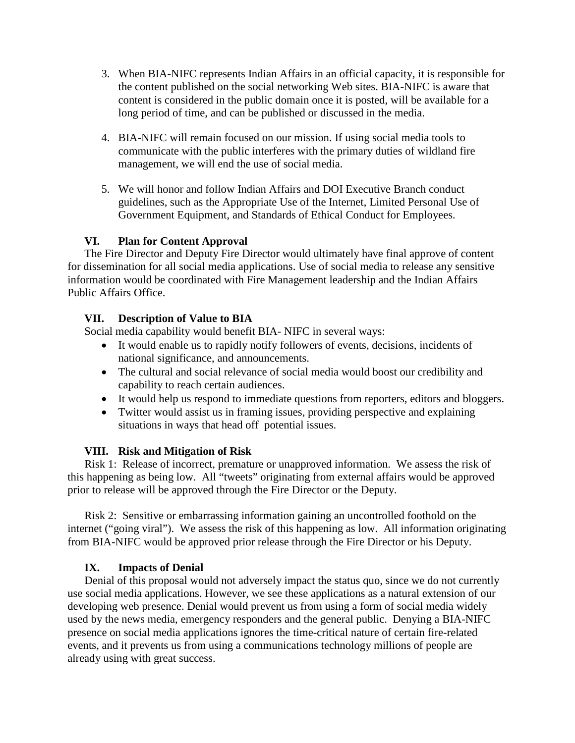- 3. When BIA-NIFC represents Indian Affairs in an official capacity, it is responsible for the content published on the social networking Web sites. BIA-NIFC is aware that content is considered in the public domain once it is posted, will be available for a long period of time, and can be published or discussed in the media.
- 4. BIA-NIFC will remain focused on our mission. If using social media tools to communicate with the public interferes with the primary duties of wildland fire management, we will end the use of social media.
- 5. We will honor and follow Indian Affairs and DOI Executive Branch conduct guidelines, such as the Appropriate Use of the Internet, Limited Personal Use of Government Equipment, and Standards of Ethical Conduct for Employees.

### **VI. Plan for Content Approval**

The Fire Director and Deputy Fire Director would ultimately have final approve of content for dissemination for all social media applications. Use of social media to release any sensitive information would be coordinated with Fire Management leadership and the Indian Affairs Public Affairs Office.

## **VII. Description of Value to BIA**

Social media capability would benefit BIA- NIFC in several ways:

- It would enable us to rapidly notify followers of events, decisions, incidents of national significance, and announcements.
- The cultural and social relevance of social media would boost our credibility and capability to reach certain audiences.
- It would help us respond to immediate questions from reporters, editors and bloggers.
- Twitter would assist us in framing issues, providing perspective and explaining situations in ways that head off potential issues.

### **VIII. Risk and Mitigation of Risk**

Risk 1: Release of incorrect, premature or unapproved information. We assess the risk of this happening as being low. All "tweets" originating from external affairs would be approved prior to release will be approved through the Fire Director or the Deputy.

Risk 2: Sensitive or embarrassing information gaining an uncontrolled foothold on the internet ("going viral"). We assess the risk of this happening as low. All information originating from BIA-NIFC would be approved prior release through the Fire Director or his Deputy.

# **IX. Impacts of Denial**

Denial of this proposal would not adversely impact the status quo, since we do not currently use social media applications. However, we see these applications as a natural extension of our developing web presence. Denial would prevent us from using a form of social media widely used by the news media, emergency responders and the general public. Denying a BIA-NIFC presence on social media applications ignores the time-critical nature of certain fire-related events, and it prevents us from using a communications technology millions of people are already using with great success.